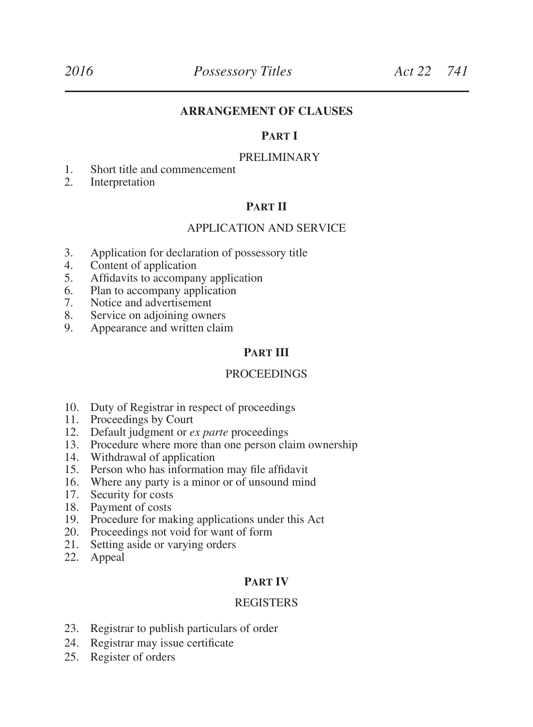#### **ARRANGEMENT OF CLAUSES**

#### **Part I**

#### PRELIMINARY

- 1. Short title and commencement
- 2. Interpretation

#### **Part II**

#### APPLICATION AND SERVICE

- 3. Application for declaration of possessory title
- 4. Content of application<br>5. Affidavits to accompare
- 5. Affidavits to accompany application<br>6. Plan to accompany application
- 6. Plan to accompany application
- 7. Notice and advertisement
- 8. Service on adjoining owners<br>9. Appearance and written clain
- Appearance and written claim

#### **PART III**

#### PROCEEDINGS

- 10. Duty of Registrar in respect of proceedings<br>11. Proceedings by Court
- Proceedings by Court
- 12. Default judgment or *ex parte* proceedings
- 13. Procedure where more than one person claim ownership
- 14. Withdrawal of application
- 15. Person who has information may file affidavit
- 16. Where any party is a minor or of unsound mind
- 17. Security for costs
- 18. Payment of costs
- 19. Procedure for making applications under this Act
- 20. Proceedings not void for want of form
- 21. Setting aside or varying orders
- 22. Appeal

#### **Part IV**

#### REGISTERS

- 23. Registrar to publish particulars of order
- 24. Registrar may issue certificate
- 25. Register of orders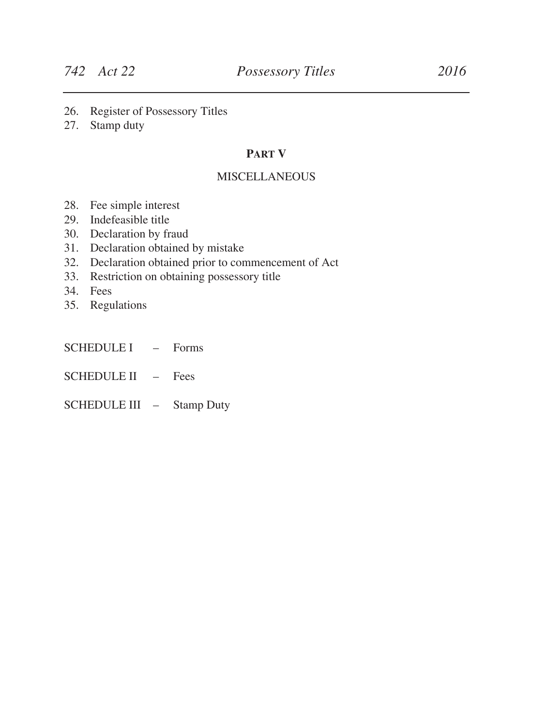- 26. Register of Possessory Titles
- 27. Stamp duty

#### **Part V**

#### **MISCELLANEOUS**

- 28. Fee simple interest
- 29. Indefeasible title
- 30. Declaration by fraud
- 31. Declaration obtained by mistake
- 32. Declaration obtained prior to commencement of Act
- 33. Restriction on obtaining possessory title
- 34. Fees
- 35. Regulations
- SCHEDULE I Forms
- SCHEDULE II Fees
- SCHEDULE III Stamp Duty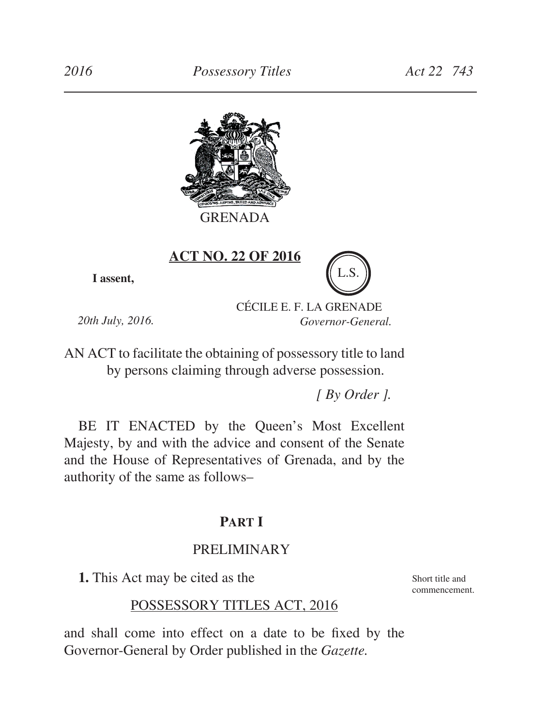

**ACT NO. 22 OF 2016**

**I assent,**

CÉCILE E. F. LA GRENADE *Governor-General.*

*20th July, 2016.*

AN ACT to facilitate the obtaining of possessory title to land by persons claiming through adverse possession.

*[ By Order ].*

BE IT ENACTED by the Queen's Most Excellent Majesty, by and with the advice and consent of the Senate and the House of Representatives of Grenada, and by the authority of the same as follows–

# **Part I**

# PRELIMINARY

**1.** This Act may be cited as the

Short title and commencement.

# POSSESSORY TITLES ACT, 2016

and shall come into effect on a date to be fixed by the Governor-General by Order published in the *Gazette.*

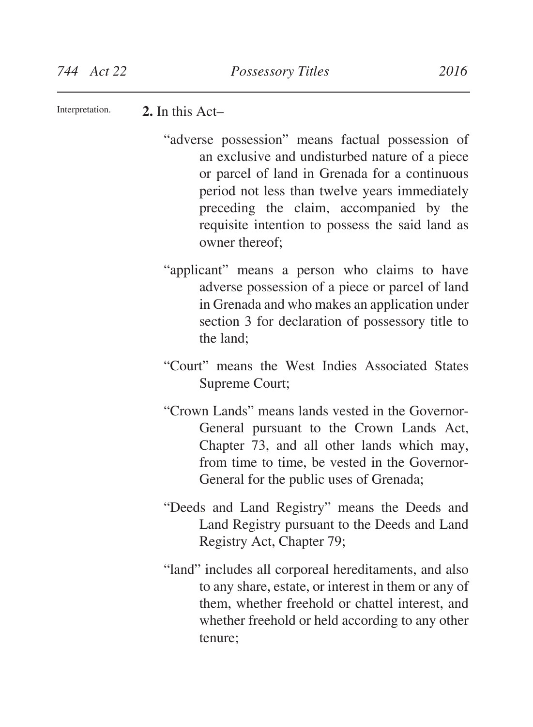**2.** In this Act– Interpretation.

- "adverse possession" means factual possession of an exclusive and undisturbed nature of a piece or parcel of land in Grenada for a continuous period not less than twelve years immediately preceding the claim, accompanied by the requisite intention to possess the said land as owner thereof;
- "applicant" means a person who claims to have adverse possession of a piece or parcel of land in Grenada and who makes an application under section 3 for declaration of possessory title to the land;
- "Court" means the West Indies Associated States Supreme Court;
- "Crown Lands" means lands vested in the Governor-General pursuant to the Crown Lands Act, Chapter 73, and all other lands which may, from time to time, be vested in the Governor-General for the public uses of Grenada;
- "Deeds and Land Registry" means the Deeds and Land Registry pursuant to the Deeds and Land Registry Act, Chapter 79;
- "land" includes all corporeal hereditaments, and also to any share, estate, or interest in them or any of them, whether freehold or chattel interest, and whether freehold or held according to any other tenure;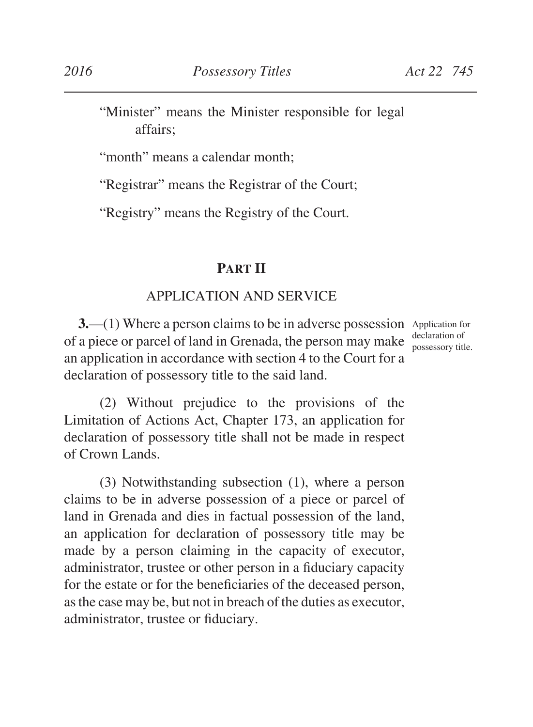"Minister" means the Minister responsible for legal affairs;

"month" means a calendar month:

"Registrar" means the Registrar of the Court;

"Registry" means the Registry of the Court.

# **Part II**

# APPLICATION AND SERVICE

**3.** (1) Where a person claims to be in adverse possession Application for of a piece or parcel of land in Grenada, the person may make an application in accordance with section 4 to the Court for a declaration of possessory title to the said land.

declaration of possessory title.

(2) Without prejudice to the provisions of the Limitation of Actions Act, Chapter 173, an application for declaration of possessory title shall not be made in respect of Crown Lands.

(3) Notwithstanding subsection (1), where a person claims to be in adverse possession of a piece or parcel of land in Grenada and dies in factual possession of the land, an application for declaration of possessory title may be made by a person claiming in the capacity of executor, administrator, trustee or other person in a fiduciary capacity for the estate or for the beneficiaries of the deceased person, asthe case may be, but not in breach of the duties as executor, administrator, trustee or fiduciary.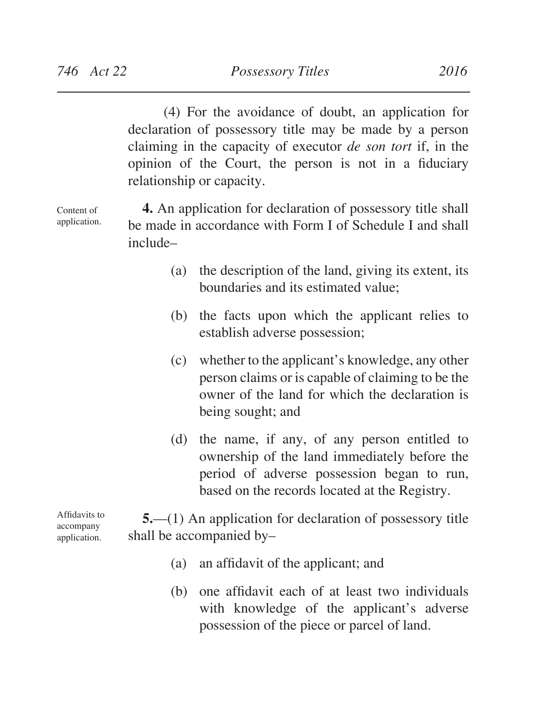Content of application.

(4) For the avoidance of doubt, an application for declaration of possessory title may be made by a person claiming in the capacity of executor *de son tort* if, in the opinion of the Court, the person is not in a fiduciary relationship or capacity.

**4.** An application for declaration of possessory title shall be made in accordance with Form I of Schedule I and shall include–

- (a) the description of the land, giving its extent, its boundaries and its estimated value;
- (b) the facts upon which the applicant relies to establish adverse possession;
- (c) whether to the applicant's knowledge, any other person claims or is capable of claiming to be the owner of the land for which the declaration is being sought; and
- (d) the name, if any, of any person entitled to ownership of the land immediately before the period of adverse possession began to run, based on the records located at the Registry.

**5.**—(1) An application for declaration of possessory title shall be accompanied by–

- (a) an affidavit of the applicant; and
- (b) one affidavit each of at least two individuals with knowledge of the applicant's adverse possession of the piece or parcel of land.

Affidavits to accompany application.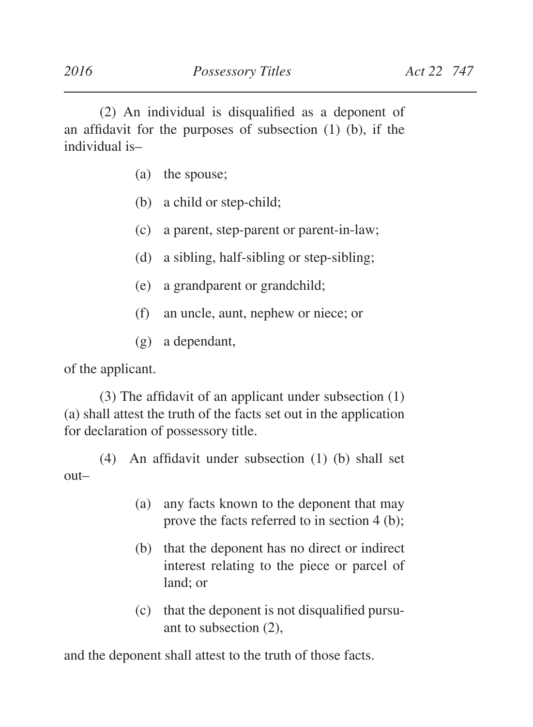(2) An individual is disqualified as a deponent of an affidavit for the purposes of subsection (1) (b), if the individual is–

- (a) the spouse;
- (b) a child or step-child;
- (c) a parent, step-parent or parent-in-law;
- (d) a sibling, half-sibling or step-sibling;
- (e) a grandparent or grandchild;
- (f) an uncle, aunt, nephew or niece; or
- (g) a dependant,

of the applicant.

(3) The affidavit of an applicant under subsection (1) (a) shall attest the truth of the facts set out in the application for declaration of possessory title.

(4) An affidavit under subsection (1) (b) shall set out–

- (a) any facts known to the deponent that may prove the facts referred to in section 4 (b);
- (b) that the deponent has no direct or indirect interest relating to the piece or parcel of land; or
- (c) that the deponent is not disqualified pursuant to subsection (2),

and the deponent shall attest to the truth of those facts.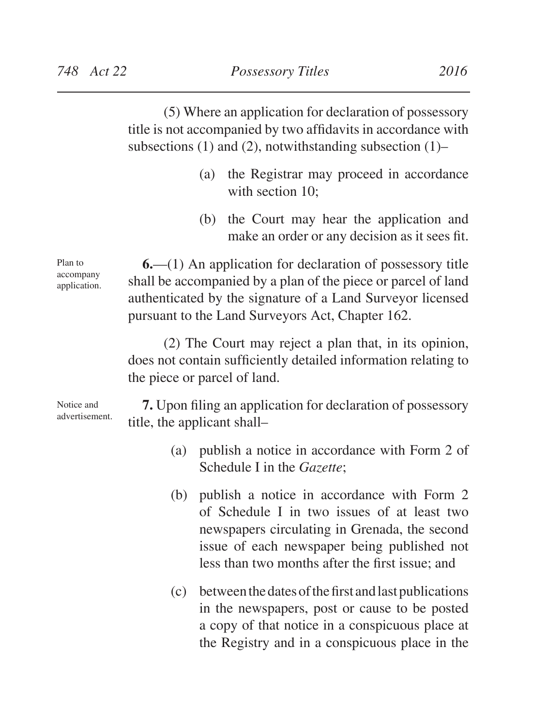(5) Where an application for declaration of possessory title is not accompanied by two affidavits in accordance with subsections (1) and (2), notwithstanding subsection  $(1)$ –

- (a) the Registrar may proceed in accordance with section 10:
- (b) the Court may hear the application and make an order or any decision as it sees fit.

Plan to accompany application.

Notice and

**6.**—(1) An application for declaration of possessory title shall be accompanied by a plan of the piece or parcel of land authenticated by the signature of a Land Surveyor licensed pursuant to the Land Surveyors Act, Chapter 162.

(2) The Court may reject a plan that, in its opinion, does not contain sufficiently detailed information relating to the piece or parcel of land.

**7.** Upon filing an application for declaration of possessory title, the applicant shall– advertisement.

- (a) publish a notice in accordance with Form 2 of Schedule I in the *Gazette*;
- (b) publish a notice in accordance with Form 2 of Schedule I in two issues of at least two newspapers circulating in Grenada, the second issue of each newspaper being published not less than two months after the first issue; and
- (c) betweenthedatesofthefirst andlastpublications in the newspapers, post or cause to be posted a copy of that notice in a conspicuous place at the Registry and in a conspicuous place in the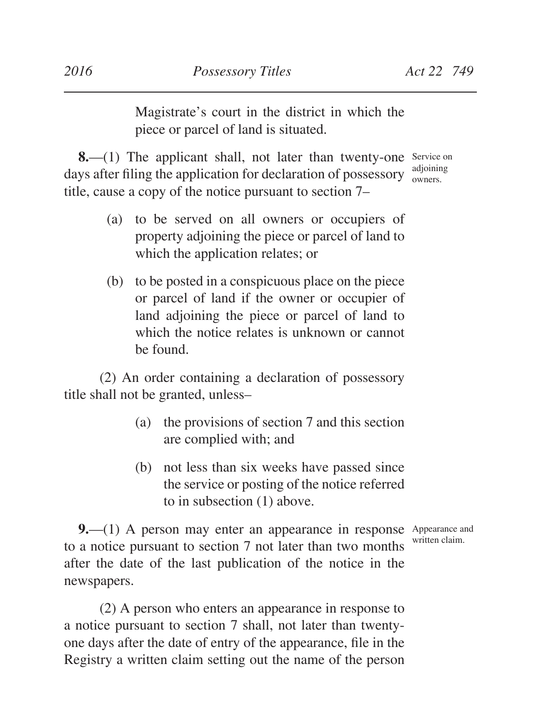Magistrate's court in the district in which the piece or parcel of land is situated.

**8.**—(1) The applicant shall, not later than twenty-one Service on days after filing the application for declaration of possessory  $\frac{a_{\text{d}}$ title, cause a copy of the notice pursuant to section 7–

- (a) to be served on all owners or occupiers of property adjoining the piece or parcel of land to which the application relates; or
- (b) to be posted in a conspicuous place on the piece or parcel of land if the owner or occupier of land adjoining the piece or parcel of land to which the notice relates is unknown or cannot be found.

(2) An order containing a declaration of possessory title shall not be granted, unless–

- (a) the provisions of section 7 and this section are complied with; and
- (b) not less than six weeks have passed since the service or posting of the notice referred to in subsection (1) above.

**9.**—(1) A person may enter an appearance in response Appearance and to a notice pursuant to section 7 not later than two months written claim.after the date of the last publication of the notice in the newspapers.

(2) A person who enters an appearance in response to a notice pursuant to section 7 shall, not later than twentyone days after the date of entry of the appearance, file in the Registry a written claim setting out the name of the person

adjoining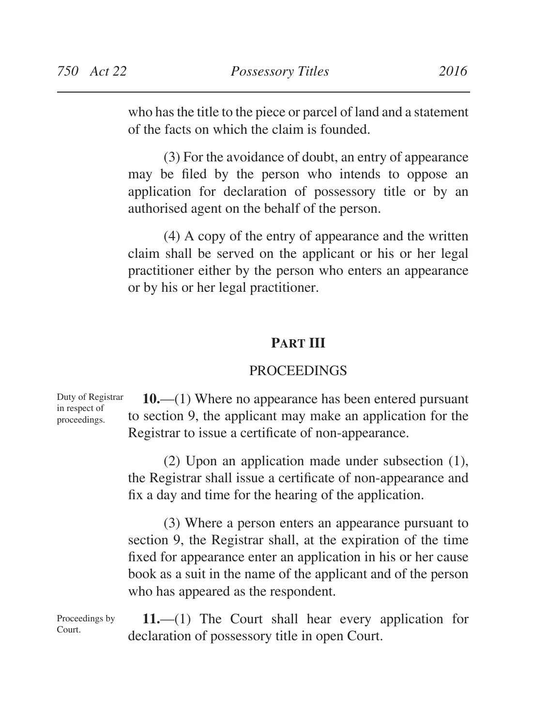who hasthe title to the piece or parcel of land and a statement of the facts on which the claim is founded.

(3) For the avoidance of doubt, an entry of appearance may be filed by the person who intends to oppose an application for declaration of possessory title or by an authorised agent on the behalf of the person.

(4) A copy of the entry of appearance and the written claim shall be served on the applicant or his or her legal practitioner either by the person who enters an appearance or by his or her legal practitioner.

# **Part III**

#### **PROCEEDINGS**

**10.**—(1) Where no appearance has been entered pursuant to section 9, the applicant may make an application for the Registrar to issue a certificate of non-appearance. Duty of Registrar in respect of proceedings.

> (2) Upon an application made under subsection (1), the Registrar shall issue a certificate of non-appearance and fix a day and time for the hearing of the application.

> (3) Where a person enters an appearance pursuant to section 9, the Registrar shall, at the expiration of the time fixed for appearance enter an application in his or her cause book as a suit in the name of the applicant and of the person who has appeared as the respondent.

**11.**—(1) The Court shall hear every application for declaration of possessory title in open Court.

Proceedings by Court.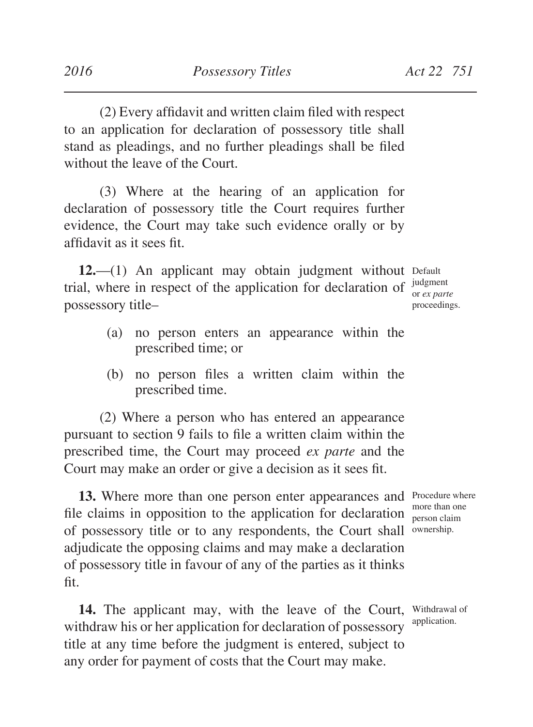to an application for declaration of possessory title shall stand as pleadings, and no further pleadings shall be filed without the leave of the Court.

(3) Where at the hearing of an application for declaration of possessory title the Court requires further evidence, the Court may take such evidence orally or by affidavit as it sees fit.

12.—(1) An applicant may obtain judgment without Default trial, where in respect of the application for declaration of  $\frac{judgment}{or~ex~narr}$ possessory title–

or *ex parte*  proceedings.

- (a) no person enters an appearance within the prescribed time; or
- (b) no person files a written claim within the prescribed time.

(2) Where a person who has entered an appearance pursuant to section 9 fails to file a written claim within the prescribed time, the Court may proceed *ex parte* and the Court may make an order or give a decision as it sees fit.

13. Where more than one person enter appearances and Procedure where file claims in opposition to the application for declaration of possessory title or to any respondents, the Court shall ownership. adjudicate the opposing claims and may make a declaration of possessory title in favour of any of the parties as it thinks fit.

14. The applicant may, with the leave of the Court, Withdrawal of withdraw his or her application for declaration of possessory title at any time before the judgment is entered, subject to any order for payment of costs that the Court may make. application.

more than one person claim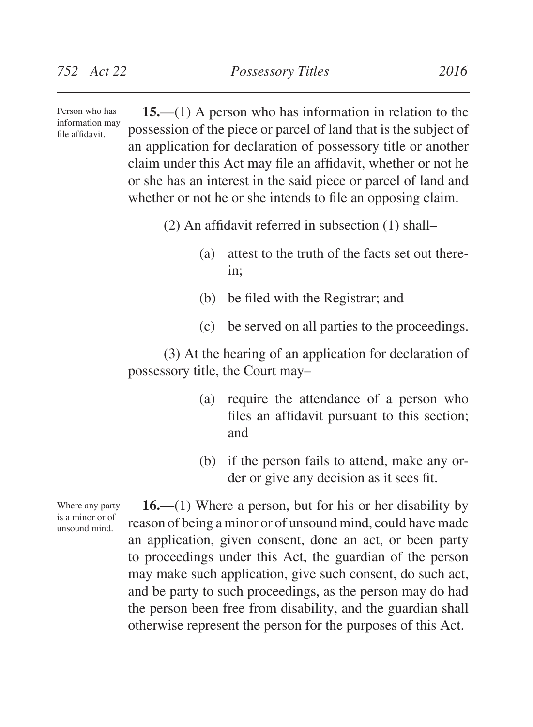**15.**—(1) A person who has information in relation to the possession of the piece or parcel of land that is the subject of an application for declaration of possessory title or another claim under this Act may file an affidavit, whether or not he or she has an interest in the said piece or parcel of land and whether or not he or she intends to file an opposing claim.

(2) An affidavit referred in subsection (1) shall–

- (a) attest to the truth of the facts set out therein;
- (b) be filed with the Registrar; and
- (c) be served on all parties to the proceedings.

(3) At the hearing of an application for declaration of possessory title, the Court may–

- (a) require the attendance of a person who files an affidavit pursuant to this section; and
- (b) if the person fails to attend, make any order or give any decision as it sees fit.

**16.**—(1) Where a person, but for his or her disability by reason of being a minor or of unsound mind, could have made an application, given consent, done an act, or been party to proceedings under this Act, the guardian of the person may make such application, give such consent, do such act, and be party to such proceedings, as the person may do had the person been free from disability, and the guardian shall otherwise represent the person for the purposes of this Act.

Where any party is a minor or of unsound mind.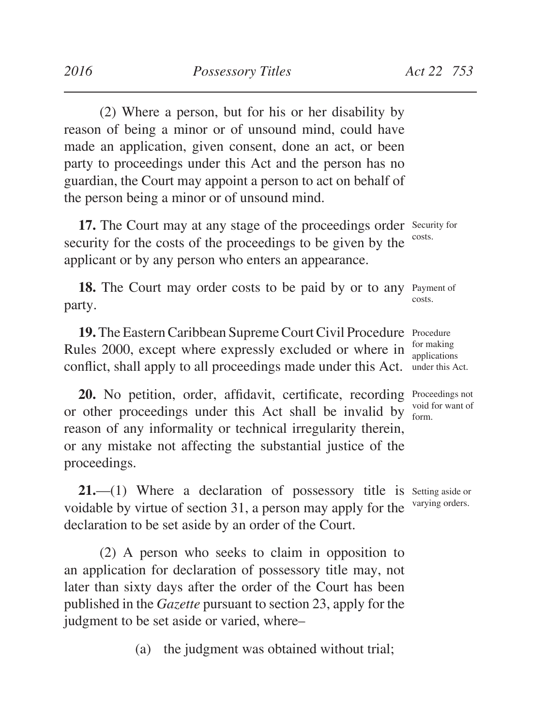(2) Where a person, but for his or her disability by reason of being a minor or of unsound mind, could have made an application, given consent, done an act, or been party to proceedings under this Act and the person has no guardian, the Court may appoint a person to act on behalf of the person being a minor or of unsound mind.

17. The Court may at any stage of the proceedings order Security for security for the costs of the proceedings to be given by the applicant or by any person who enters an appearance. costs.

18. The Court may order costs to be paid by or to any Payment of party. costs.

19. The Eastern Caribbean Supreme Court Civil Procedure Procedure Rules 2000, except where expressly excluded or where in conflict, shall apply to all proceedings made under this Act. for making

**20.** No petition, order, affidavit, certificate, recording Proceedings not or other proceedings under this Act shall be invalid by reason of any informality or technical irregularity therein, or any mistake not affecting the substantial justice of the proceedings.

**21.**—(1) Where a declaration of possessory title is setting aside or voidable by virtue of section 31, a person may apply for the declaration to be set aside by an order of the Court. varying orders.

(2) A person who seeks to claim in opposition to an application for declaration of possessory title may, not later than sixty days after the order of the Court has been published in the *Gazette* pursuant to section 23, apply for the judgment to be set aside or varied, where–

(a) the judgment was obtained without trial;

applications under this Act.

void for want of form.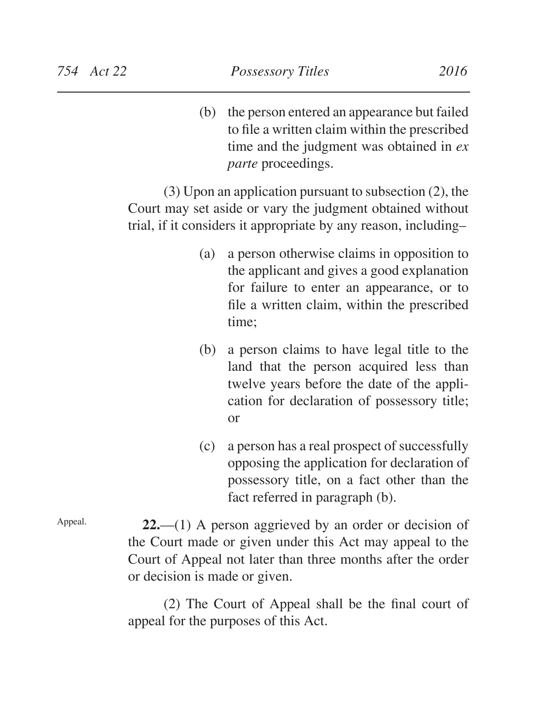(b) the person entered an appearance but failed to file a written claim within the prescribed time and the judgment was obtained in *ex parte* proceedings.

(3) Upon an application pursuant to subsection (2), the Court may set aside or vary the judgment obtained without trial, if it considers it appropriate by any reason, including–

- (a) a person otherwise claims in opposition to the applicant and gives a good explanation for failure to enter an appearance, or to file a written claim, within the prescribed time;
- (b) a person claims to have legal title to the land that the person acquired less than twelve years before the date of the application for declaration of possessory title; or
- (c) a person has a real prospect of successfully opposing the application for declaration of possessory title, on a fact other than the fact referred in paragraph (b).

Appeal.

**22.**—(1) A person aggrieved by an order or decision of the Court made or given under this Act may appeal to the Court of Appeal not later than three months after the order or decision is made or given.

(2) The Court of Appeal shall be the final court of appeal for the purposes of this Act.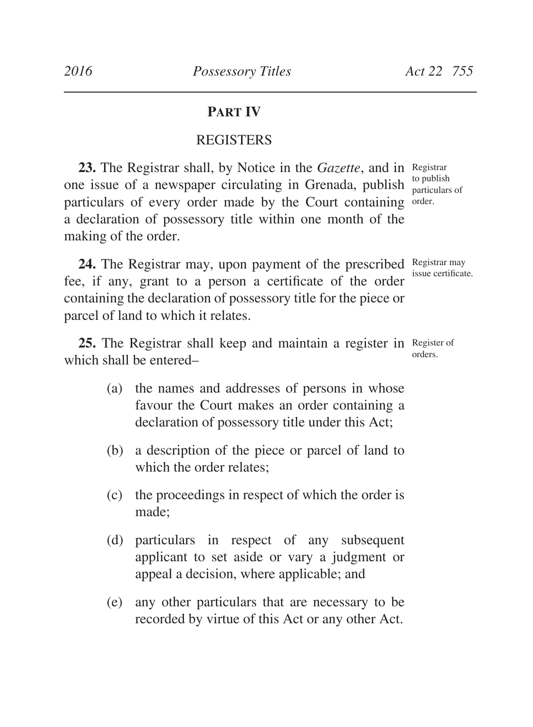# **Part IV**

# **REGISTERS**

**23.** The Registrar shall, by Notice in the *Gazette*, and in Registrar one issue of a newspaper circulating in Grenada, publish  $_{\text{particular}}^{\text{to publish}}$ particulars of every order made by the Court containing order. a declaration of possessory title within one month of the making of the order. particulars of

24. The Registrar may, upon payment of the prescribed Registrar may fee, if any, grant to a person a certificate of the order containing the declaration of possessory title for the piece or parcel of land to which it relates.

25. The Registrar shall keep and maintain a register in Register of which shall be entered– orders.

- (a) the names and addresses of persons in whose favour the Court makes an order containing a declaration of possessory title under this Act;
- (b) a description of the piece or parcel of land to which the order relates;
- (c) the proceedings in respect of which the order is made;
- (d) particulars in respect of any subsequent applicant to set aside or vary a judgment or appeal a decision, where applicable; and
- (e) any other particulars that are necessary to be recorded by virtue of this Act or any other Act.

issue certificate.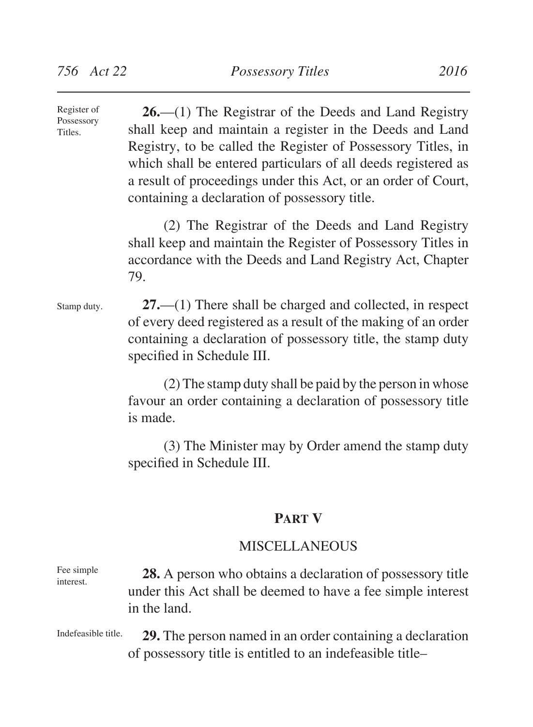**26.**—(1) The Registrar of the Deeds and Land Registry shall keep and maintain a register in the Deeds and Land Registry, to be called the Register of Possessory Titles, in which shall be entered particulars of all deeds registered as a result of proceedings under this Act, or an order of Court, containing a declaration of possessory title. Register of Possessory Titles.

> (2) The Registrar of the Deeds and Land Registry shall keep and maintain the Register of Possessory Titles in accordance with the Deeds and Land Registry Act, Chapter 79.

Stamp duty.

**27.**—(1) There shall be charged and collected, in respect of every deed registered as a result of the making of an order containing a declaration of possessory title, the stamp duty specified in Schedule III.

(2) The stamp duty shall be paid by the person in whose favour an order containing a declaration of possessory title is made.

(3) The Minister may by Order amend the stamp duty specified in Schedule III.

### **Part V**

# **MISCELLANEOUS**

**28.** A person who obtains a declaration of possessory title under this Act shall be deemed to have a fee simple interest in the land. Fee simple interest.

**29.** The person named in an order containing a declaration of possessory title is entitled to an indefeasible title–

Indefeasible title.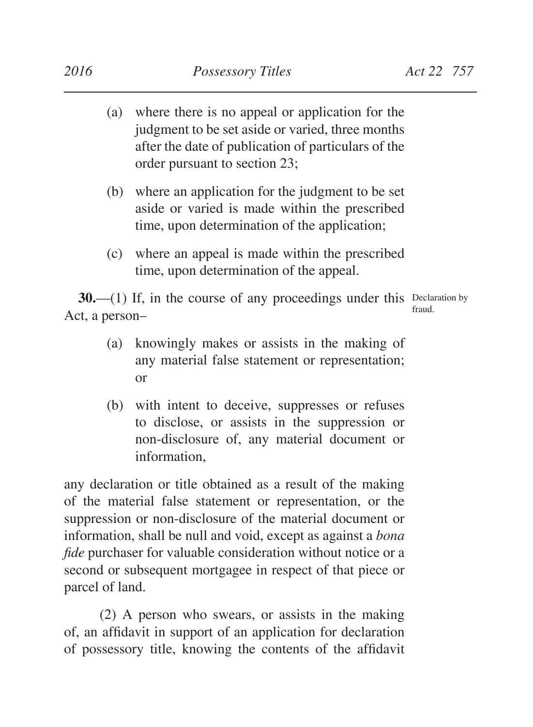- (a) where there is no appeal or application for the judgment to be set aside or varied, three months after the date of publication of particulars of the order pursuant to section 23;
- (b) where an application for the judgment to be set aside or varied is made within the prescribed time, upon determination of the application;
- (c) where an appeal is made within the prescribed time, upon determination of the appeal.

**30.**—(1) If, in the course of any proceedings under this Declaration by Act, a person– fraud.

- (a) knowingly makes or assists in the making of any material false statement or representation; or
- (b) with intent to deceive, suppresses or refuses to disclose, or assists in the suppression or non-disclosure of, any material document or information,

any declaration or title obtained as a result of the making of the material false statement or representation, or the suppression or non-disclosure of the material document or information, shall be null and void, except as against a *bona fide* purchaser for valuable consideration without notice or a second or subsequent mortgagee in respect of that piece or parcel of land.

(2) A person who swears, or assists in the making of, an affidavit in support of an application for declaration of possessory title, knowing the contents of the affidavit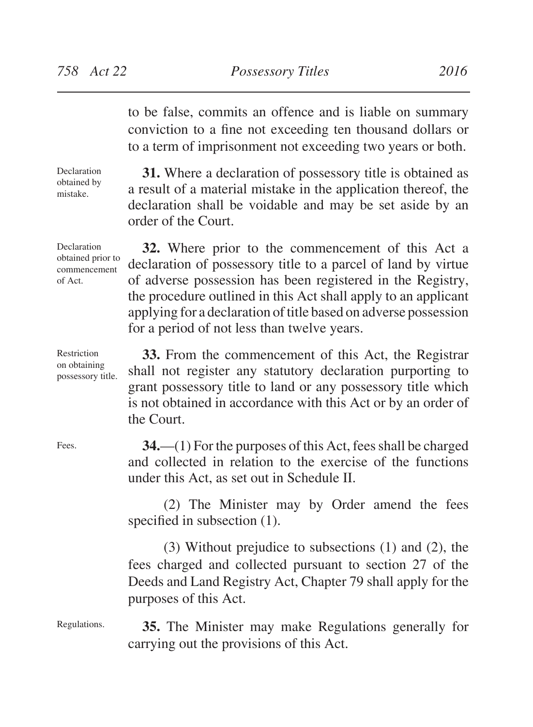to be false, commits an offence and is liable on summary conviction to a fine not exceeding ten thousand dollars or to a term of imprisonment not exceeding two years or both.

Declaration obtained by mistake.

Declaration

Restriction on obtaining

commencement of Act.

**31.** Where a declaration of possessory title is obtained as a result of a material mistake in the application thereof, the declaration shall be voidable and may be set aside by an order of the Court.

**32.** Where prior to the commencement of this Act a declaration of possessory title to a parcel of land by virtue of adverse possession has been registered in the Registry, the procedure outlined in this Act shall apply to an applicant applying for a declaration of title based on adverse possession for a period of not less than twelve years. obtained prior to

**33.** From the commencement of this Act, the Registrar shall not register any statutory declaration purporting to grant possessory title to land or any possessory title which is not obtained in accordance with this Act or by an order of the Court. possessory title.

> **34.**—(1) For the purposes of this Act, fees shall be charged and collected in relation to the exercise of the functions under this Act, as set out in Schedule II.

> (2) The Minister may by Order amend the fees specified in subsection  $(1)$ .

> (3) Without prejudice to subsections (1) and (2), the fees charged and collected pursuant to section 27 of the Deeds and Land Registry Act, Chapter 79 shall apply for the purposes of this Act.

**35.** The Minister may make Regulations generally for carrying out the provisions of this Act.

Fees.

Regulations.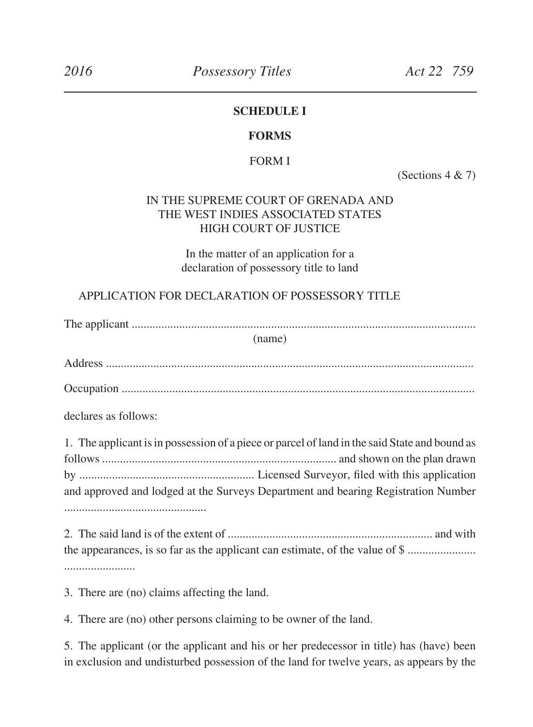#### **SCHEDULE I**

#### **FORMS**

#### FORM I

(Sections 4 & 7)

# IN THE SUPREME COURT OF GRENADA AND THE WEST INDIES ASSOCIATED STATES HIGH COURT OF JUSTICE

In the matter of an application for a declaration of possessory title to land

#### APPLICATION FOR DECLARATION OF POSSESSORY TITLE

The applicant ....................................................................................................................

(name)

Address ............................................................................................................................

Occupation .......................................................................................................................

declares as follows:

1. The applicant is in possession of a piece or parcel of land in the said State and bound as follows ............................................................................... and shown on the plan drawn by ........................................................... Licensed Surveyor, filed with this application and approved and lodged at the Surveys Department and bearing Registration Number ................................................

2. The said land is of the extent of ..................................................................... and with the appearances, is so far as the applicant can estimate, of the value of \$ ....................... ........................

3. There are (no) claims affecting the land.

4. There are (no) other persons claiming to be owner of the land.

5. The applicant (or the applicant and his or her predecessor in title) has (have) been in exclusion and undisturbed possession of the land for twelve years, as appears by the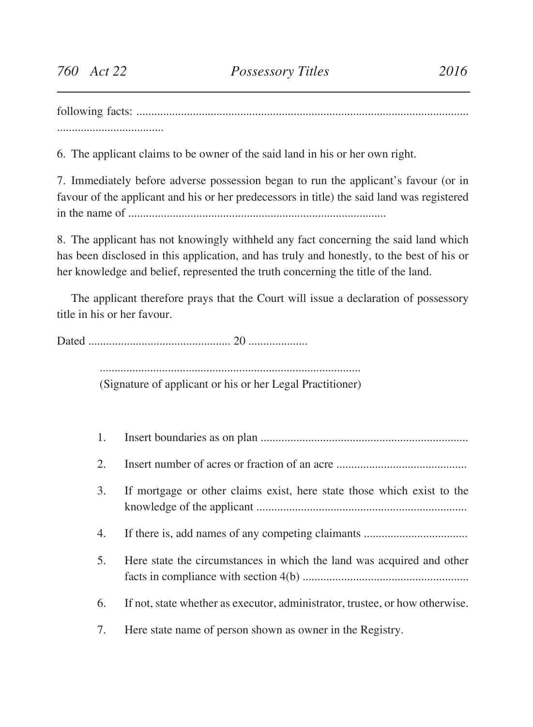following facts: ................................................................................................................ ....................................

6. The applicant claims to be owner of the said land in his or her own right.

7. Immediately before adverse possession began to run the applicant's favour (or in favour of the applicant and his or her predecessors in title) the said land was registered in the name of .......................................................................................

8. The applicant has not knowingly withheld any fact concerning the said land which has been disclosed in this application, and has truly and honestly, to the best of his or her knowledge and belief, represented the truth concerning the title of the land.

The applicant therefore prays that the Court will issue a declaration of possessory title in his or her favour.

Dated ................................................ 20 ....................

........................................................................................

(Signature of applicant or his or her Legal Practitioner)

1. Insert boundaries as on plan ...................................................................... 2. Insert number of acres or fraction of an acre  $\ldots$ 3. If mortgage or other claims exist, here state those which exist to the knowledge of the applicant ....................................................................... 4. If there is, add names of any competing claimants ................................... 5. Here state the circumstances in which the land was acquired and other facts in compliance with section 4(b) ........................................................ 6. If not, state whether as executor, administrator, trustee, or how otherwise. 7. Here state name of person shown as owner in the Registry.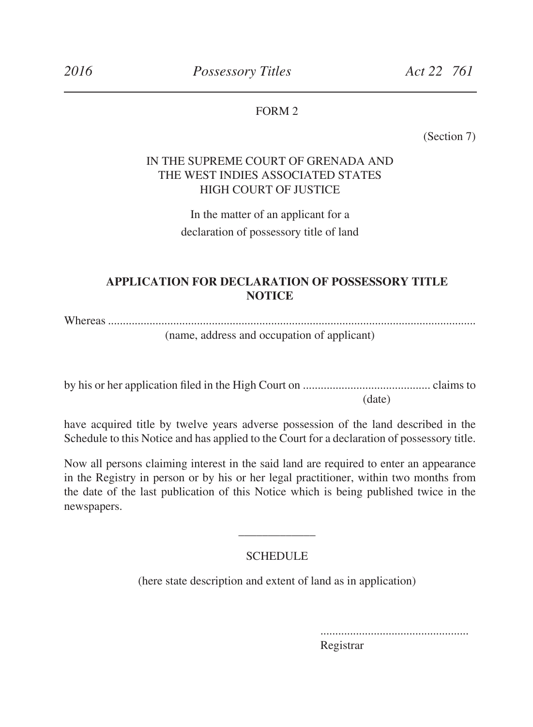#### FORM 2

(Section 7)

### IN THE SUPREME COURT OF GRENADA AND THE WEST INDIES ASSOCIATED STATES HIGH COURT OF JUSTICE

In the matter of an applicant for a declaration of possessory title of land

### **APPLICATION FOR DECLARATION OF POSSESSORY TITLE NOTICE**

Whereas ............................................................................................................................ (name, address and occupation of applicant)

by his or her application filed in the High Court on ........................................... claims to (date)

have acquired title by twelve years adverse possession of the land described in the Schedule to this Notice and has applied to the Court for a declaration of possessory title.

Now all persons claiming interest in the said land are required to enter an appearance in the Registry in person or by his or her legal practitioner, within two months from the date of the last publication of this Notice which is being published twice in the newspapers.

# \_\_\_\_\_\_\_\_\_\_\_\_\_ **SCHEDULE**

(here state description and extent of land as in application)

 .................................................. Registrar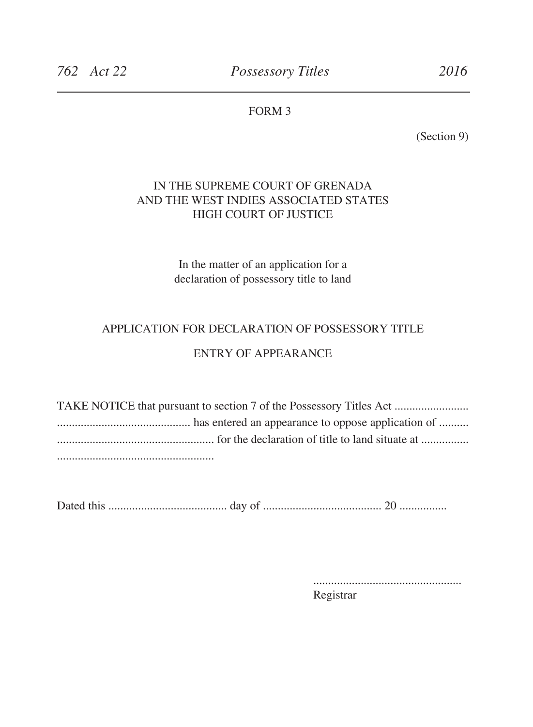# FORM 3

(Section 9)

## IN THE SUPREME COURT OF GRENADA AND THE WEST INDIES ASSOCIATED STATES HIGH COURT OF JUSTICE

In the matter of an application for a declaration of possessory title to land

#### APPLICATION FOR DECLARATION OF POSSESSORY TITLE

### ENTRY OF APPEARANCE

TAKE NOTICE that pursuant to section 7 of the Possessory Titles Act ......................... ............................................. has entered an appearance to oppose application of .......... ..................................................... for the declaration of title to land situate at ................ .....................................................

Dated this ........................................ day of ........................................ 20 ................

 .................................................. Registrar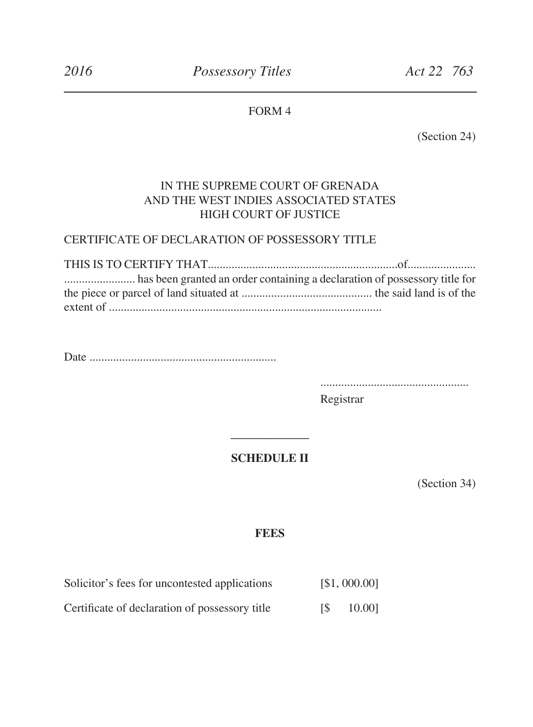# FORM 4

(Section 24)

## IN THE SUPREME COURT OF GRENADA AND THE WEST INDIES ASSOCIATED STATES HIGH COURT OF JUSTICE

#### CERTIFICATE OF DECLARATION OF POSSESSORY TITLE

Date ...............................................................

..................................................

 Registrar

#### **SCHEDULE II**

**\_\_\_\_\_\_\_\_\_\_\_**

(Section 34)

#### **FEES**

| Solicitor's fees for uncontested applications  | [\$1,000.00] |
|------------------------------------------------|--------------|
| Certificate of declaration of possessory title | 10.001       |